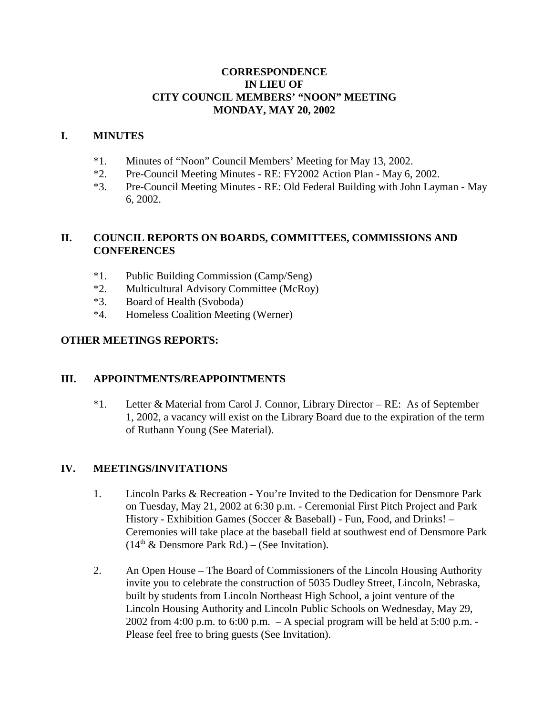## **CORRESPONDENCE IN LIEU OF CITY COUNCIL MEMBERS' "NOON" MEETING MONDAY, MAY 20, 2002**

## **I. MINUTES**

- \*1. Minutes of "Noon" Council Members' Meeting for May 13, 2002.
- \*2. Pre-Council Meeting Minutes RE: FY2002 Action Plan May 6, 2002.
- \*3. Pre-Council Meeting Minutes RE: Old Federal Building with John Layman May 6, 2002.

# **II. COUNCIL REPORTS ON BOARDS, COMMITTEES, COMMISSIONS AND CONFERENCES**

- \*1. Public Building Commission (Camp/Seng)
- \*2. Multicultural Advisory Committee (McRoy)
- \*3. Board of Health (Svoboda)
- \*4. Homeless Coalition Meeting (Werner)

## **OTHER MEETINGS REPORTS:**

## **III. APPOINTMENTS/REAPPOINTMENTS**

\*1. Letter & Material from Carol J. Connor, Library Director – RE: As of September 1, 2002, a vacancy will exist on the Library Board due to the expiration of the term of Ruthann Young (See Material).

## **IV. MEETINGS/INVITATIONS**

- 1. Lincoln Parks & Recreation You're Invited to the Dedication for Densmore Park on Tuesday, May 21, 2002 at 6:30 p.m. - Ceremonial First Pitch Project and Park History - Exhibition Games (Soccer & Baseball) - Fun, Food, and Drinks! – Ceremonies will take place at the baseball field at southwest end of Densmore Park  $(14<sup>th</sup> \&$  Densmore Park Rd.) – (See Invitation).
- 2. An Open House The Board of Commissioners of the Lincoln Housing Authority invite you to celebrate the construction of 5035 Dudley Street, Lincoln, Nebraska, built by students from Lincoln Northeast High School, a joint venture of the Lincoln Housing Authority and Lincoln Public Schools on Wednesday, May 29, 2002 from 4:00 p.m. to 6:00 p.m.  $- A$  special program will be held at 5:00 p.m. -Please feel free to bring guests (See Invitation).